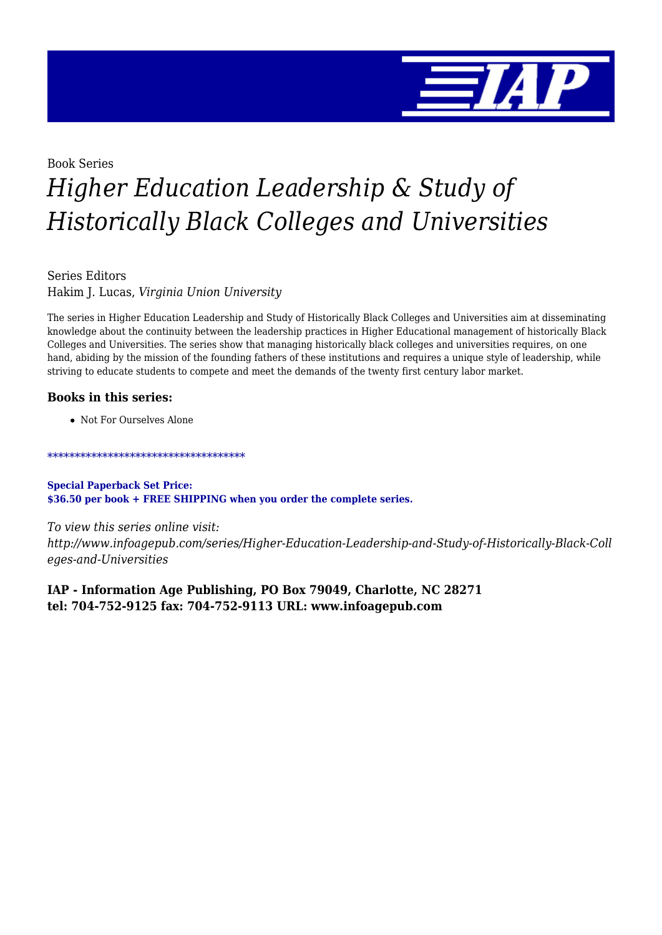

## Book Series *Higher Education Leadership & Study of Historically Black Colleges and Universities*

Series Editors Hakim J. Lucas, *Virginia Union University*

The series in Higher Education Leadership and Study of Historically Black Colleges and Universities aim at disseminating knowledge about the continuity between the leadership practices in Higher Educational management of historically Black Colleges and Universities. The series show that managing historically black colleges and universities requires, on one hand, abiding by the mission of the founding fathers of these institutions and requires a unique style of leadership, while striving to educate students to compete and meet the demands of the twenty first century labor market.

## **Books in this series:**

Not For Ourselves Alone

\*\*\*\*\*\*\*\*\*\*\*\*\*\*\*\*\*\*\*\*\*\*\*\*\*\*\*\*\*\*\*\*\*\*\*\*

**Special Paperback Set Price: \$36.50 per book + FREE SHIPPING when you order the complete series.**

*To view this series online visit: http://www.infoagepub.com/series/Higher-Education-Leadership-and-Study-of-Historically-Black-Coll eges-and-Universities*

**IAP - Information Age Publishing, PO Box 79049, Charlotte, NC 28271 tel: 704-752-9125 fax: 704-752-9113 URL: www.infoagepub.com**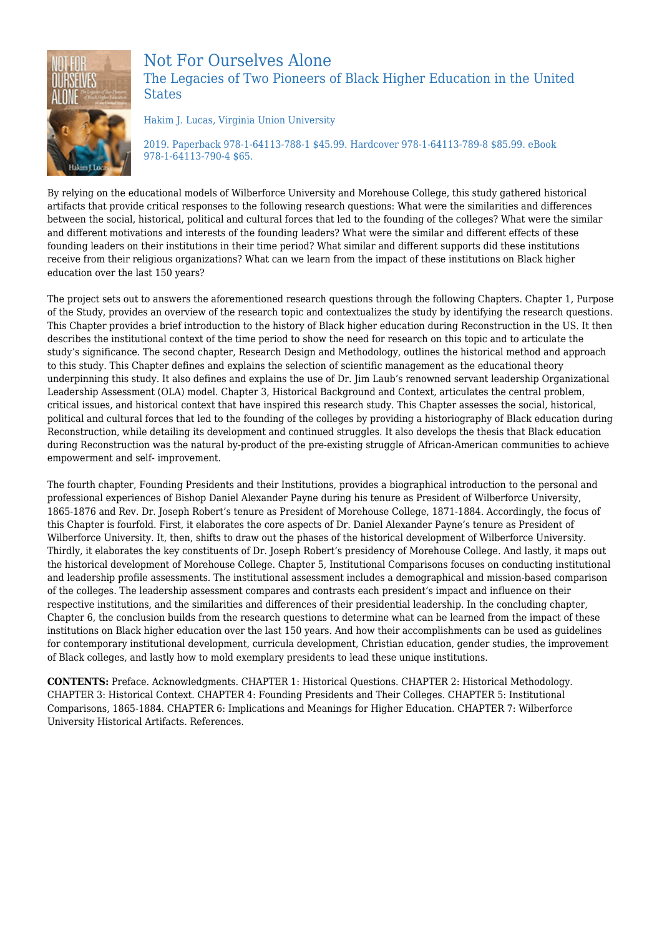

## Not For Ourselves Alone The Legacies of Two Pioneers of Black Higher Education in the United **States**

Hakim J. Lucas, Virginia Union University

2019. Paperback 978-1-64113-788-1 \$45.99. Hardcover 978-1-64113-789-8 \$85.99. eBook 978-1-64113-790-4 \$65.

By relying on the educational models of Wilberforce University and Morehouse College, this study gathered historical artifacts that provide critical responses to the following research questions: What were the similarities and differences between the social, historical, political and cultural forces that led to the founding of the colleges? What were the similar and different motivations and interests of the founding leaders? What were the similar and different effects of these founding leaders on their institutions in their time period? What similar and different supports did these institutions receive from their religious organizations? What can we learn from the impact of these institutions on Black higher education over the last 150 years?

The project sets out to answers the aforementioned research questions through the following Chapters. Chapter 1, Purpose of the Study, provides an overview of the research topic and contextualizes the study by identifying the research questions. This Chapter provides a brief introduction to the history of Black higher education during Reconstruction in the US. It then describes the institutional context of the time period to show the need for research on this topic and to articulate the study's significance. The second chapter, Research Design and Methodology, outlines the historical method and approach to this study. This Chapter defines and explains the selection of scientific management as the educational theory underpinning this study. It also defines and explains the use of Dr. Jim Laub's renowned servant leadership Organizational Leadership Assessment (OLA) model. Chapter 3, Historical Background and Context, articulates the central problem, critical issues, and historical context that have inspired this research study. This Chapter assesses the social, historical, political and cultural forces that led to the founding of the colleges by providing a historiography of Black education during Reconstruction, while detailing its development and continued struggles. It also develops the thesis that Black education during Reconstruction was the natural by-product of the pre-existing struggle of African-American communities to achieve empowerment and self- improvement.

The fourth chapter, Founding Presidents and their Institutions, provides a biographical introduction to the personal and professional experiences of Bishop Daniel Alexander Payne during his tenure as President of Wilberforce University, 1865-1876 and Rev. Dr. Joseph Robert's tenure as President of Morehouse College, 1871-1884. Accordingly, the focus of this Chapter is fourfold. First, it elaborates the core aspects of Dr. Daniel Alexander Payne's tenure as President of Wilberforce University. It, then, shifts to draw out the phases of the historical development of Wilberforce University. Thirdly, it elaborates the key constituents of Dr. Joseph Robert's presidency of Morehouse College. And lastly, it maps out the historical development of Morehouse College. Chapter 5, Institutional Comparisons focuses on conducting institutional and leadership profile assessments. The institutional assessment includes a demographical and mission-based comparison of the colleges. The leadership assessment compares and contrasts each president's impact and influence on their respective institutions, and the similarities and differences of their presidential leadership. In the concluding chapter, Chapter 6, the conclusion builds from the research questions to determine what can be learned from the impact of these institutions on Black higher education over the last 150 years. And how their accomplishments can be used as guidelines for contemporary institutional development, curricula development, Christian education, gender studies, the improvement of Black colleges, and lastly how to mold exemplary presidents to lead these unique institutions.

**CONTENTS:** Preface. Acknowledgments. CHAPTER 1: Historical Questions. CHAPTER 2: Historical Methodology. CHAPTER 3: Historical Context. CHAPTER 4: Founding Presidents and Their Colleges. CHAPTER 5: Institutional Comparisons, 1865-1884. CHAPTER 6: Implications and Meanings for Higher Education. CHAPTER 7: Wilberforce University Historical Artifacts. References.